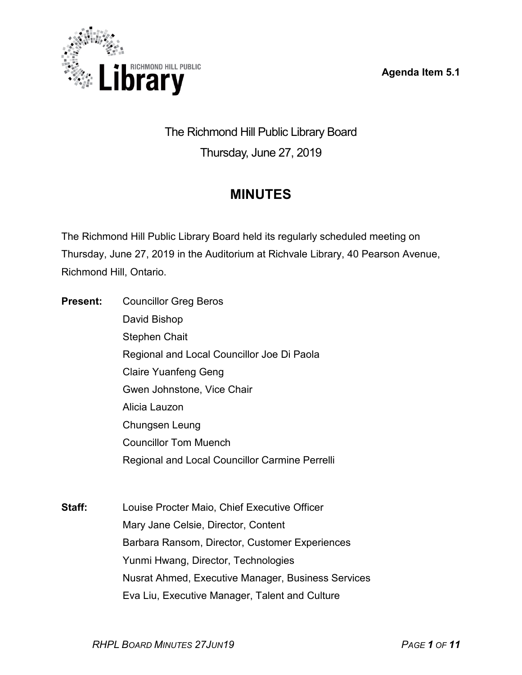**Agenda Item 5.1**



The Richmond Hill Public Library Board Thursday, June 27, 2019

# **MINUTES**

The Richmond Hill Public Library Board held its regularly scheduled meeting on Thursday, June 27, 2019 in the Auditorium at Richvale Library, 40 Pearson Avenue, Richmond Hill, Ontario.

**Present:** Councillor Greg Beros David Bishop Stephen Chait Regional and Local Councillor Joe Di Paola Claire Yuanfeng Geng Gwen Johnstone, Vice Chair Alicia Lauzon Chungsen Leung Councillor Tom Muench Regional and Local Councillor Carmine Perrelli

**Staff:** Louise Procter Maio, Chief Executive Officer Mary Jane Celsie, Director, Content Barbara Ransom, Director, Customer Experiences Yunmi Hwang, Director, Technologies Nusrat Ahmed, Executive Manager, Business Services Eva Liu, Executive Manager, Talent and Culture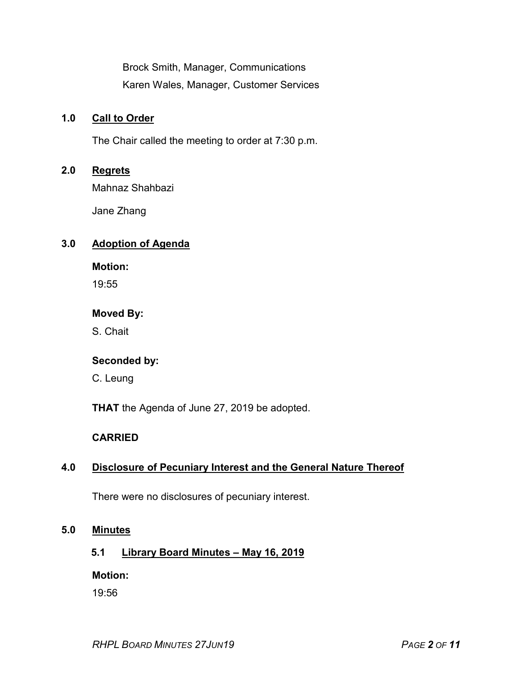Brock Smith, Manager, Communications Karen Wales, Manager, Customer Services

#### **1.0 Call to Order**

The Chair called the meeting to order at 7:30 p.m.

#### **2.0 Regrets**

Mahnaz Shahbazi

Jane Zhang

#### **3.0 Adoption of Agenda**

**Motion:**

19:55

#### **Moved By:**

S. Chait

#### **Seconded by:**

C. Leung

**THAT** the Agenda of June 27, 2019 be adopted.

## **CARRIED**

## **4.0 Disclosure of Pecuniary Interest and the General Nature Thereof**

There were no disclosures of pecuniary interest.

#### **5.0 Minutes**

## **5.1 Library Board Minutes – May 16, 2019**

**Motion:**

19:56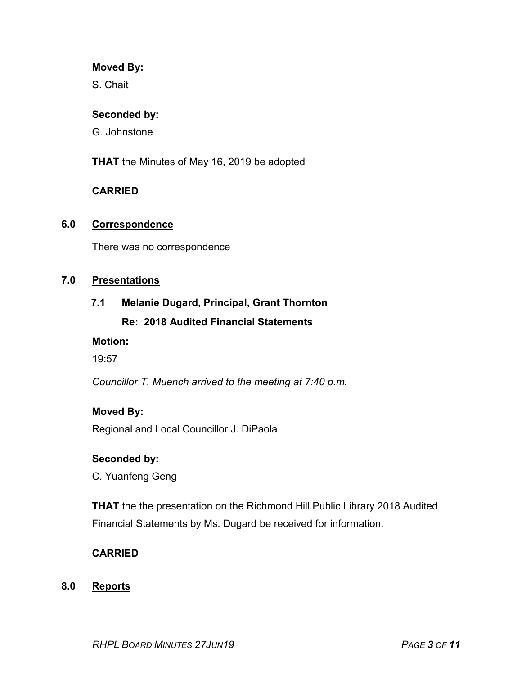#### **Moved By:**

S. Chait

#### **Seconded by:**

G. Johnstone

**THAT** the Minutes of May 16, 2019 be adopted

## **CARRIED**

#### **6.0 Correspondence**

There was no correspondence

#### **7.0 Presentations**

#### **7.1 Melanie Dugard, Principal, Grant Thornton**

## **Re: 2018 Audited Financial Statements**

#### **Motion:**

19:57

*Councillor T. Muench arrived to the meeting at 7:40 p.m.*

## **Moved By:**

Regional and Local Councillor J. DiPaola

## **Seconded by:**

C. Yuanfeng Geng

**THAT** the the presentation on the Richmond Hill Public Library 2018 Audited Financial Statements by Ms. Dugard be received for information.

## **CARRIED**

#### **8.0 Reports**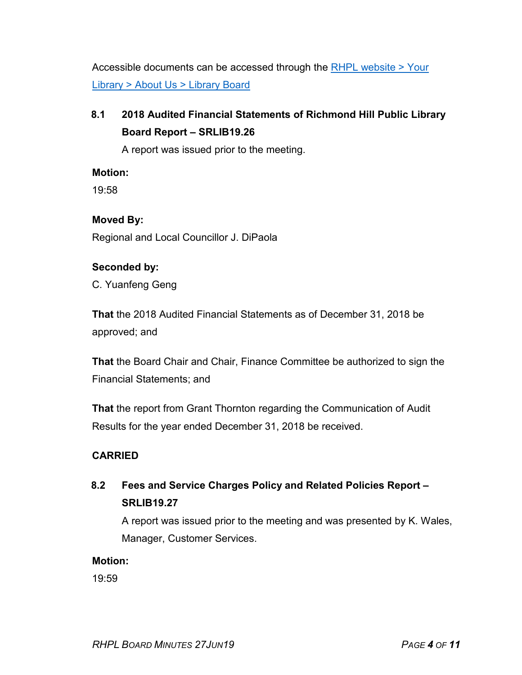Accessible documents can be accessed through the [RHPL website > Your](https://www.rhpl.ca/your-library/about-us/library-board)  Library [> About Us > Library](https://www.rhpl.ca/your-library/about-us/library-board) Board

# **8.1 2018 Audited Financial Statements of Richmond Hill Public Library Board Report – SRLIB19.26**

A report was issued prior to the meeting.

## **Motion:**

19:58

## **Moved By:**

Regional and Local Councillor J. DiPaola

## **Seconded by:**

C. Yuanfeng Geng

**That** the 2018 Audited Financial Statements as of December 31, 2018 be approved; and

**That** the Board Chair and Chair, Finance Committee be authorized to sign the Financial Statements; and

**That** the report from Grant Thornton regarding the Communication of Audit Results for the year ended December 31, 2018 be received.

## **CARRIED**

# **8.2 Fees and Service Charges Policy and Related Policies Report – SRLIB19.27**

A report was issued prior to the meeting and was presented by K. Wales, Manager, Customer Services.

## **Motion:**

19:59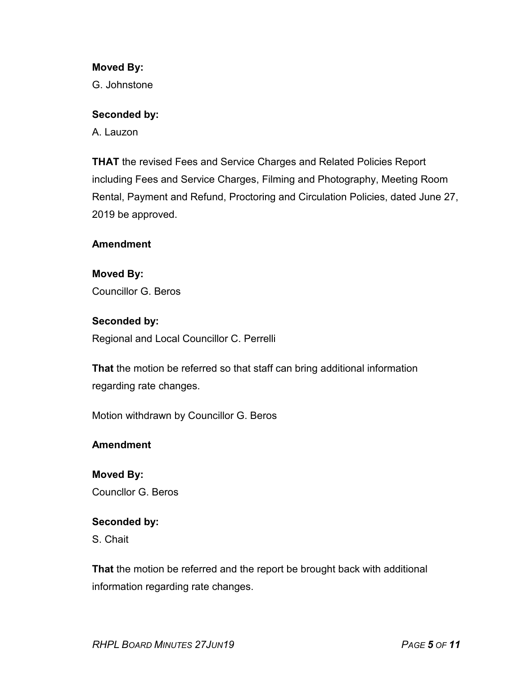#### **Moved By:**

G. Johnstone

#### **Seconded by:**

A. Lauzon

**THAT** the revised Fees and Service Charges and Related Policies Report including Fees and Service Charges, Filming and Photography, Meeting Room Rental, Payment and Refund, Proctoring and Circulation Policies, dated June 27, 2019 be approved.

#### **Amendment**

## **Moved By:**

Councillor G. Beros

## **Seconded by:**

Regional and Local Councillor C. Perrelli

**That** the motion be referred so that staff can bring additional information regarding rate changes.

Motion withdrawn by Councillor G. Beros

## **Amendment**

**Moved By:** Councllor G. Beros

## **Seconded by:**

S. Chait

**That** the motion be referred and the report be brought back with additional information regarding rate changes.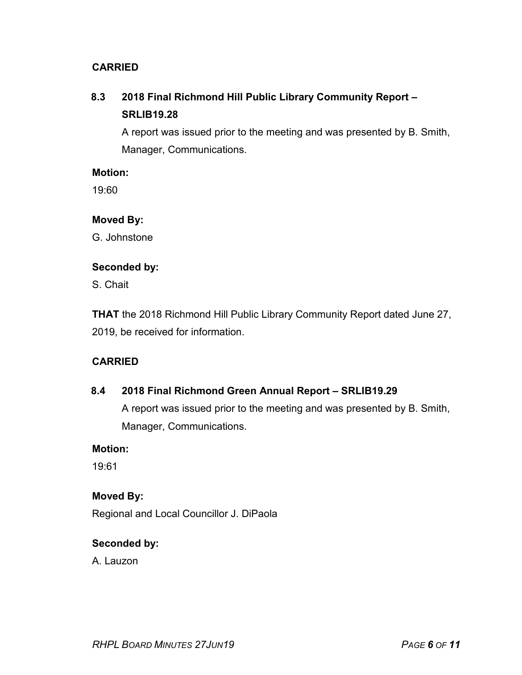## **CARRIED**

# **8.3 2018 Final Richmond Hill Public Library Community Report – SRLIB19.28**

A report was issued prior to the meeting and was presented by B. Smith, Manager, Communications.

#### **Motion:**

19:60

## **Moved By:**

G. Johnstone

#### **Seconded by:**

S. Chait

**THAT** the 2018 Richmond Hill Public Library Community Report dated June 27, 2019, be received for information.

## **CARRIED**

## **8.4 2018 Final Richmond Green Annual Report – SRLIB19.29**

A report was issued prior to the meeting and was presented by B. Smith, Manager, Communications.

## **Motion:**

19:61

## **Moved By:**

Regional and Local Councillor J. DiPaola

## **Seconded by:**

A. Lauzon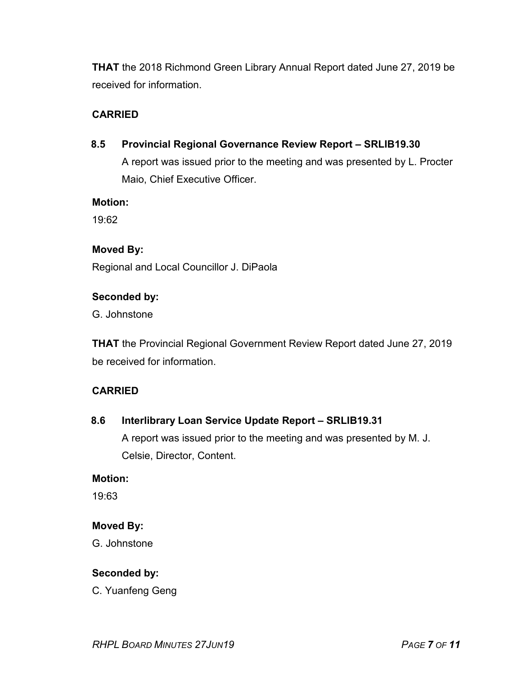**THAT** the 2018 Richmond Green Library Annual Report dated June 27, 2019 be received for information.

## **CARRIED**

**8.5 Provincial Regional Governance Review Report – SRLIB19.30** A report was issued prior to the meeting and was presented by L. Procter Maio, Chief Executive Officer.

#### **Motion:**

19:62

#### **Moved By:**

Regional and Local Councillor J. DiPaola

#### **Seconded by:**

G. Johnstone

**THAT** the Provincial Regional Government Review Report dated June 27, 2019 be received for information.

## **CARRIED**

#### **8.6 Interlibrary Loan Service Update Report – SRLIB19.31**

A report was issued prior to the meeting and was presented by M. J. Celsie, Director, Content.

#### **Motion:**

19:63

## **Moved By:**

G. Johnstone

## **Seconded by:**

C. Yuanfeng Geng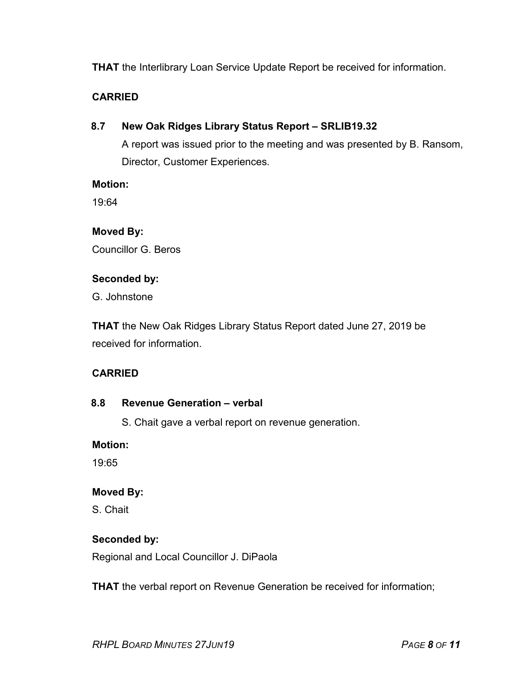## **THAT** the Interlibrary Loan Service Update Report be received for information.

#### **CARRIED**

**8.7 New Oak Ridges Library Status Report – SRLIB19.32**

A report was issued prior to the meeting and was presented by B. Ransom, Director, Customer Experiences.

#### **Motion:**

19:64

#### **Moved By:**

Councillor G. Beros

#### **Seconded by:**

G. Johnstone

**THAT** the New Oak Ridges Library Status Report dated June 27, 2019 be received for information.

## **CARRIED**

#### **8.8 Revenue Generation – verbal**

S. Chait gave a verbal report on revenue generation.

#### **Motion:**

19:65

#### **Moved By:**

S. Chait

## **Seconded by:**

Regional and Local Councillor J. DiPaola

**THAT** the verbal report on Revenue Generation be received for information;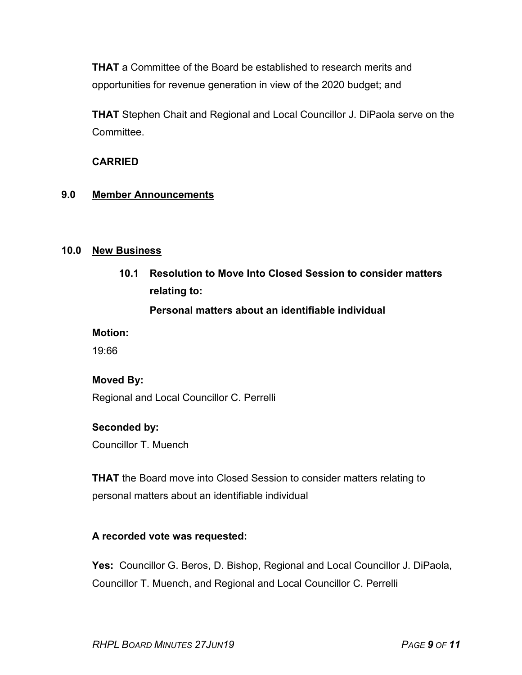**THAT** a Committee of the Board be established to research merits and opportunities for revenue generation in view of the 2020 budget; and

**THAT** Stephen Chait and Regional and Local Councillor J. DiPaola serve on the Committee.

## **CARRIED**

#### **9.0 Member Announcements**

#### **10.0 New Business**

**10.1 Resolution to Move Into Closed Session to consider matters relating to:**

## **Personal matters about an identifiable individual**

#### **Motion:**

19:66

#### **Moved By:**

Regional and Local Councillor C. Perrelli

#### **Seconded by:**

Councillor T. Muench

**THAT** the Board move into Closed Session to consider matters relating to personal matters about an identifiable individual

## **A recorded vote was requested:**

**Yes:** Councillor G. Beros, D. Bishop, Regional and Local Councillor J. DiPaola, Councillor T. Muench, and Regional and Local Councillor C. Perrelli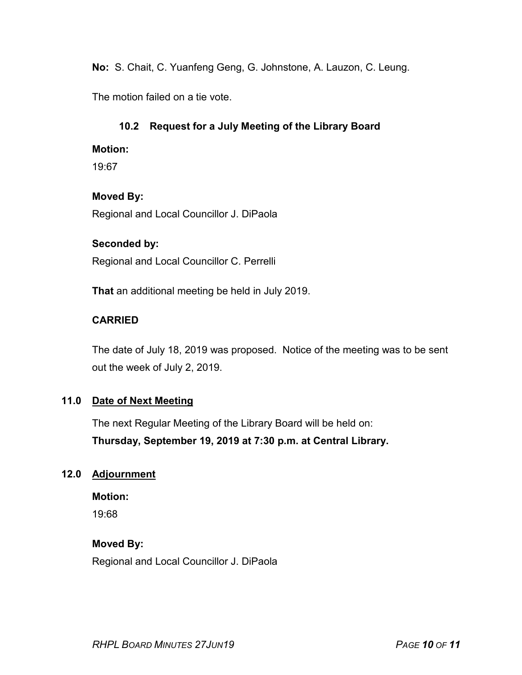**No:** S. Chait, C. Yuanfeng Geng, G. Johnstone, A. Lauzon, C. Leung.

The motion failed on a tie vote.

## **10.2 Request for a July Meeting of the Library Board**

#### **Motion:**

19:67

## **Moved By:**

Regional and Local Councillor J. DiPaola

## **Seconded by:**

Regional and Local Councillor C. Perrelli

**That** an additional meeting be held in July 2019.

## **CARRIED**

The date of July 18, 2019 was proposed. Notice of the meeting was to be sent out the week of July 2, 2019.

## **11.0 Date of Next Meeting**

The next Regular Meeting of the Library Board will be held on: **Thursday, September 19, 2019 at 7:30 p.m. at Central Library.**

## **12.0 Adjournment**

**Motion:**

19:68

## **Moved By:**

Regional and Local Councillor J. DiPaola